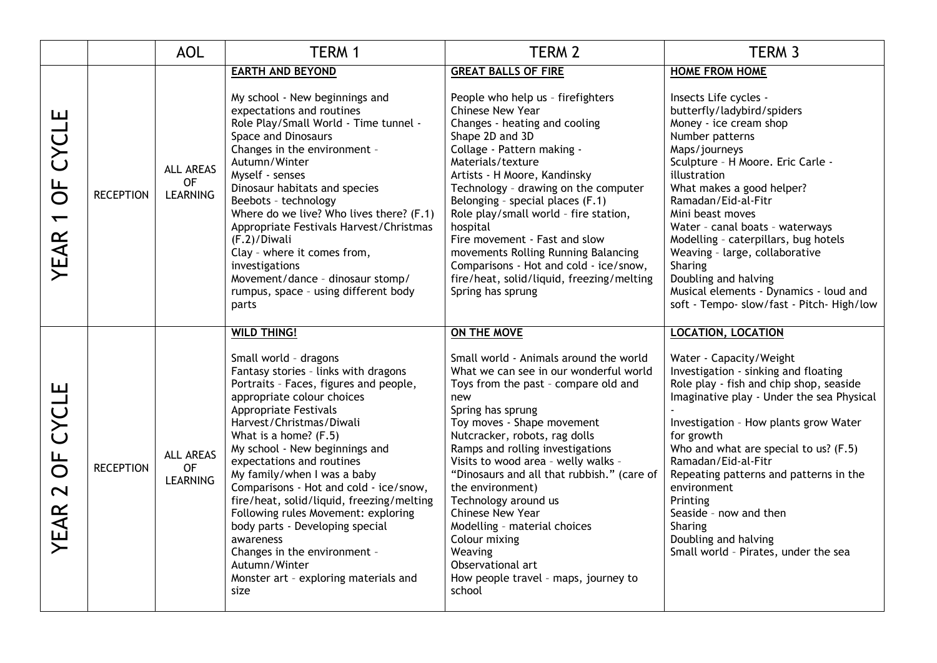|                                                     |                  | <b>AOL</b>                                       | TERM 1                                                                                                                                                                                                                                                                                                                                                                                                                                                                                                                                                                                                                           | TERM <sub>2</sub>                                                                                                                                                                                                                                                                                                                                                                                                                                                                                                                                              | TERM <sub>3</sub>                                                                                                                                                                                                                                                                                                                                                                                                                                                                                              |
|-----------------------------------------------------|------------------|--------------------------------------------------|----------------------------------------------------------------------------------------------------------------------------------------------------------------------------------------------------------------------------------------------------------------------------------------------------------------------------------------------------------------------------------------------------------------------------------------------------------------------------------------------------------------------------------------------------------------------------------------------------------------------------------|----------------------------------------------------------------------------------------------------------------------------------------------------------------------------------------------------------------------------------------------------------------------------------------------------------------------------------------------------------------------------------------------------------------------------------------------------------------------------------------------------------------------------------------------------------------|----------------------------------------------------------------------------------------------------------------------------------------------------------------------------------------------------------------------------------------------------------------------------------------------------------------------------------------------------------------------------------------------------------------------------------------------------------------------------------------------------------------|
| CYCLE<br>UF<br>O<br>$\leftarrow$<br>YEAR            | <b>RECEPTION</b> | ALL AREAS<br><b>OF</b><br><b>LEARNING</b>        | <b>EARTH AND BEYOND</b><br>My school - New beginnings and<br>expectations and routines<br>Role Play/Small World - Time tunnel -<br>Space and Dinosaurs<br>Changes in the environment -<br>Autumn/Winter<br>Myself - senses<br>Dinosaur habitats and species<br>Beebots - technology<br>Where do we live? Who lives there? (F.1)<br>Appropriate Festivals Harvest/Christmas<br>(F.2)/Diwali<br>Clay - where it comes from,<br>investigations<br>Movement/dance - dinosaur stomp/<br>rumpus, space - using different body<br>parts                                                                                                 | <b>GREAT BALLS OF FIRE</b><br>People who help us - firefighters<br>Chinese New Year<br>Changes - heating and cooling<br>Shape 2D and 3D<br>Collage - Pattern making -<br>Materials/texture<br>Artists - H Moore, Kandinsky<br>Technology - drawing on the computer<br>Belonging - special places (F.1)<br>Role play/small world - fire station,<br>hospital<br>Fire movement - Fast and slow<br>movements Rolling Running Balancing<br>Comparisons - Hot and cold - ice/snow,<br>fire/heat, solid/liquid, freezing/melting<br>Spring has sprung                | <b>HOME FROM HOME</b><br>Insects Life cycles -<br>butterfly/ladybird/spiders<br>Money - ice cream shop<br>Number patterns<br>Maps/journeys<br>Sculpture - H Moore. Eric Carle -<br>illustration<br>What makes a good helper?<br>Ramadan/Eid-al-Fitr<br>Mini beast moves<br>Water - canal boats - waterways<br>Modelling - caterpillars, bug hotels<br>Weaving - large, collaborative<br>Sharing<br>Doubling and halving<br>Musical elements - Dynamics - loud and<br>soft - Tempo- slow/fast - Pitch- High/low |
| CYCLE<br>UF<br>O<br>$\overline{\mathbf{C}}$<br>YEAR | <b>RECEPTION</b> | <b>ALL AREAS</b><br><b>OF</b><br><b>LEARNING</b> | <b>WILD THING!</b><br>Small world - dragons<br>Fantasy stories - links with dragons<br>Portraits - Faces, figures and people,<br>appropriate colour choices<br><b>Appropriate Festivals</b><br>Harvest/Christmas/Diwali<br>What is a home? $(F.5)$<br>My school - New beginnings and<br>expectations and routines<br>My family/when I was a baby<br>Comparisons - Hot and cold - ice/snow,<br>fire/heat, solid/liquid, freezing/melting<br>Following rules Movement: exploring<br>body parts - Developing special<br>awareness<br>Changes in the environment -<br>Autumn/Winter<br>Monster art - exploring materials and<br>size | ON THE MOVE<br>Small world - Animals around the world<br>What we can see in our wonderful world<br>Toys from the past - compare old and<br>new<br>Spring has sprung<br>Toy moves - Shape movement<br>Nutcracker, robots, rag dolls<br>Ramps and rolling investigations<br>Visits to wood area - welly walks -<br>"Dinosaurs and all that rubbish." (care of<br>the environment)<br>Technology around us<br>Chinese New Year<br>Modelling - material choices<br>Colour mixing<br>Weaving<br>Observational art<br>How people travel - maps, journey to<br>school | <b>LOCATION, LOCATION</b><br>Water - Capacity/Weight<br>Investigation - sinking and floating<br>Role play - fish and chip shop, seaside<br>Imaginative play - Under the sea Physical<br>Investigation - How plants grow Water<br>for growth<br>Who and what are special to us? (F.5)<br>Ramadan/Eid-al-Fitr<br>Repeating patterns and patterns in the<br>environment<br>Printing<br>Seaside - now and then<br>Sharing<br>Doubling and halving<br>Small world - Pirates, under the sea                          |